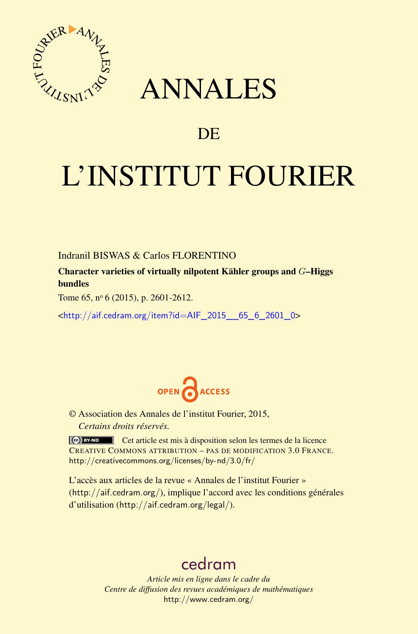

## ANNALES

### **DE**

# L'INSTITUT FOURIER

#### Indranil BISWAS & Carlos FLORENTINO

Character varieties of virtually nilpotent Kähler groups and *G*–Higgs bundles

Tome 65,  $n^{\circ}$  6 (2015), p. 2601-2612.

<[http://aif.cedram.org/item?id=AIF\\_2015\\_\\_65\\_6\\_2601\\_0](http://aif.cedram.org/item?id=AIF_2015__65_6_2601_0)>



© Association des Annales de l'institut Fourier, 2015, *Certains droits réservés.*

Cet article est mis à disposition selon les termes de la licence CREATIVE COMMONS ATTRIBUTION – PAS DE MODIFICATION 3.0 FRANCE. <http://creativecommons.org/licenses/by-nd/3.0/fr/>

L'accès aux articles de la revue « Annales de l'institut Fourier » (<http://aif.cedram.org/>), implique l'accord avec les conditions générales d'utilisation (<http://aif.cedram.org/legal/>).

## [cedram](http://www.cedram.org/)

*Article mis en ligne dans le cadre du Centre de diffusion des revues académiques de mathématiques* <http://www.cedram.org/>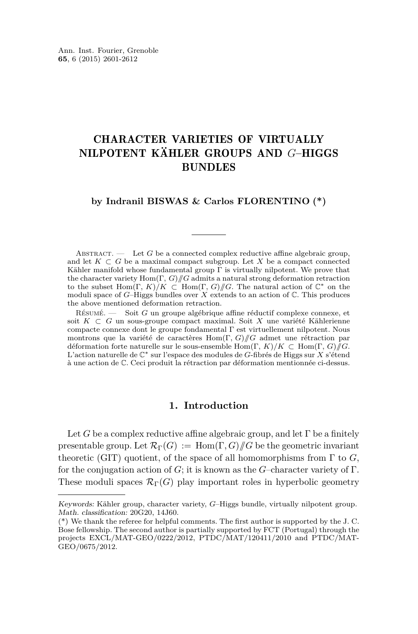### CHARACTER VARIETIES OF VIRTUALLY NILPOTENT KÄHLER GROUPS AND *G*–HIGGS BUNDLES

**by Indranil BISWAS & Carlos FLORENTINO (\*)**

ABSTRACT.  $\qquad$  Let G be a connected complex reductive affine algebraic group, and let  $K \subset G$  be a maximal compact subgroup. Let X be a compact connected Kähler manifold whose fundamental group  $\Gamma$  is virtually nilpotent. We prove that the character variety Hom(Γ*, G*)*//G* admits a natural strong deformation retraction to the subset Hom(Γ*, K*)*/K* ⊂ Hom(Γ*, G*)*//G*. The natural action of C<sup>∗</sup> on the moduli space of *G*–Higgs bundles over *X* extends to an action of C. This produces the above mentioned deformation retraction.

Résumé. — Soit *G* un groupe algébrique affine réductif complexe connexe, et soit *K* ⊂ *G* un sous-groupe compact maximal. Soit *X* une variété Kählerienne compacte connexe dont le groupe fondamental Γ est virtuellement nilpotent. Nous montrons que la variété de caractères Hom(Γ*, G*)*//G* admet une rétraction par déformation forte naturelle sur le sous-ensemble Hom(Γ*, K*)*/K* ⊂ Hom(Γ*, G*)*//G*. L'action naturelle de C<sup>∗</sup> sur l'espace des modules de *G*-fibrés de Higgs sur *X* s'étend à une action de C. Ceci produit la rétraction par déformation mentionnée ci-dessus.

#### **1. Introduction**

Let *G* be a complex reductive affine algebraic group, and let  $\Gamma$  be a finitely presentable group. Let  $\mathcal{R}_{\Gamma}(G) := \text{Hom}(\Gamma, G)/\!\!/ G$  be the geometric invariant theoretic (GIT) quotient, of the space of all homomorphisms from  $\Gamma$  to  $G$ , for the conjugation action of *G*; it is known as the *G*–character variety of Γ. These moduli spaces  $\mathcal{R}_{\Gamma}(G)$  play important roles in hyperbolic geometry

Keywords: Kähler group, character variety, *G*–Higgs bundle, virtually nilpotent group. Math. classification: 20G20, 14J60.

<sup>(\*)</sup> We thank the referee for helpful comments. The first author is supported by the J. C. Bose fellowship. The second author is partially supported by FCT (Portugal) through the projects EXCL/MAT-GEO/0222/2012, PTDC/MAT/120411/2010 and PTDC/MAT-GEO/0675/2012.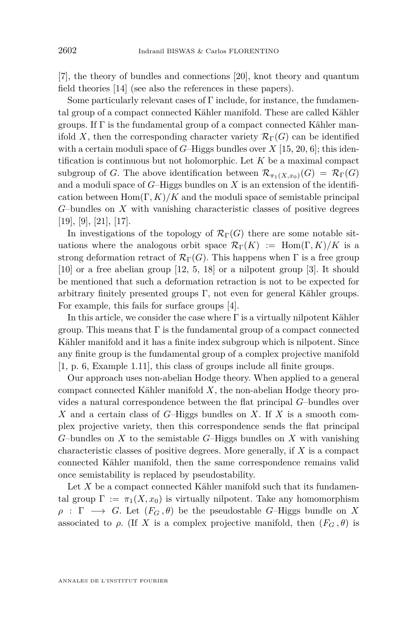[\[7\]](#page-11-0), the theory of bundles and connections [\[20\]](#page-12-0), knot theory and quantum field theories [\[14\]](#page-11-0) (see also the references in these papers).

Some particularly relevant cases of Γ include, for instance, the fundamental group of a compact connected Kähler manifold. These are called Kähler groups. If  $\Gamma$  is the fundamental group of a compact connected Kähler manifold X, then the corresponding character variety  $\mathcal{R}_{\Gamma}(G)$  can be identified with a certain moduli space of  $G$ –Higgs bundles over  $X$  [\[15,](#page-11-0) [20,](#page-12-0) [6\]](#page-11-0); this identification is continuous but not holomorphic. Let *K* be a maximal compact subgroup of *G*. The above identification between  $\mathcal{R}_{\pi_1(X,x_0)}(G) = \mathcal{R}_{\Gamma}(G)$ and a moduli space of *G*–Higgs bundles on *X* is an extension of the identification between  $\text{Hom}(\Gamma, K)/K$  and the moduli space of semistable principal *G*–bundles on *X* with vanishing characteristic classes of positive degrees [\[19\]](#page-12-0), [\[9\]](#page-11-0), [\[21\]](#page-12-0), [\[17\]](#page-11-0).

In investigations of the topology of  $\mathcal{R}_{\Gamma}(G)$  there are some notable situations where the analogous orbit space  $\mathcal{R}_{\Gamma}(K) := \text{Hom}(\Gamma, K)/K$  is a strong deformation retract of  $\mathcal{R}_{\Gamma}(G)$ . This happens when  $\Gamma$  is a free group [\[10\]](#page-11-0) or a free abelian group [\[12,](#page-11-0) [5,](#page-11-0) [18\]](#page-11-0) or a nilpotent group [\[3\]](#page-11-0). It should be mentioned that such a deformation retraction is not to be expected for arbitrary finitely presented groups  $\Gamma$ , not even for general Kähler groups. For example, this fails for surface groups [\[4\]](#page-11-0).

In this article, we consider the case where  $\Gamma$  is a virtually nilpotent Kähler group. This means that  $\Gamma$  is the fundamental group of a compact connected Kähler manifold and it has a finite index subgroup which is nilpotent. Since any finite group is the fundamental group of a complex projective manifold [\[1,](#page-11-0) p. 6, Example 1.11], this class of groups include all finite groups.

Our approach uses non-abelian Hodge theory. When applied to a general compact connected Kähler manifold *X*, the non-abelian Hodge theory provides a natural correspondence between the flat principal *G*–bundles over *X* and a certain class of *G*–Higgs bundles on *X*. If *X* is a smooth complex projective variety, then this correspondence sends the flat principal *G*–bundles on *X* to the semistable *G*–Higgs bundles on *X* with vanishing characteristic classes of positive degrees. More generally, if *X* is a compact connected Kähler manifold, then the same correspondence remains valid once semistability is replaced by pseudostability.

Let X be a compact connected Kähler manifold such that its fundamental group  $\Gamma := \pi_1(X, x_0)$  is virtually nilpotent. Take any homomorphism  $\rho$  :  $\Gamma \longrightarrow G$ . Let  $(F_G, \theta)$  be the pseudostable *G*–Higgs bundle on *X* associated to *ρ*. (If *X* is a complex projective manifold, then  $(F_G, \theta)$  is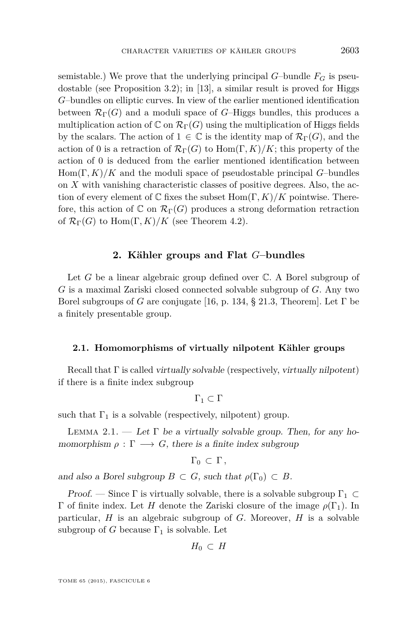<span id="page-3-0"></span>semistable.) We prove that the underlying principal  $G$ –bundle  $F_G$  is pseudostable (see Proposition [3.2\)](#page-8-0); in [\[13\]](#page-11-0), a similar result is proved for Higgs *G*–bundles on elliptic curves. In view of the earlier mentioned identification between  $\mathcal{R}_{\Gamma}(G)$  and a moduli space of *G*–Higgs bundles, this produces a multiplication action of  $\mathbb{C}$  on  $\mathcal{R}_{\Gamma}(G)$  using the multiplication of Higgs fields by the scalars. The action of  $1 \in \mathbb{C}$  is the identity map of  $\mathcal{R}_{\Gamma}(G)$ , and the action of 0 is a retraction of  $\mathcal{R}_{\Gamma}(G)$  to  $\text{Hom}(\Gamma, K)/K$ ; this property of the action of 0 is deduced from the earlier mentioned identification between Hom(Γ*, K*)*/K* and the moduli space of pseudostable principal *G*–bundles on *X* with vanishing characteristic classes of positive degrees. Also, the action of every element of  $\mathbb C$  fixes the subset  $\text{Hom}(\Gamma, K)/K$  pointwise. Therefore, this action of  $\mathbb C$  on  $\mathcal{R}_{\Gamma}(G)$  produces a strong deformation retraction of  $\mathcal{R}_{\Gamma}(G)$  to Hom $(\Gamma, K)/K$  (see Theorem [4.2\)](#page-10-0).

#### **2. Kähler groups and Flat** *G***–bundles**

Let *G* be a linear algebraic group defined over  $\mathbb{C}$ . A Borel subgroup of *G* is a maximal Zariski closed connected solvable subgroup of *G*. Any two Borel subgroups of *G* are conjugate [\[16,](#page-11-0) p. 134, § 21.3, Theorem]. Let Γ be a finitely presentable group.

#### **2.1. Homomorphisms of virtually nilpotent Kähler groups**

Recall that  $\Gamma$  is called virtually solvable (respectively, virtually nilpotent) if there is a finite index subgroup

$$
\Gamma_1\subset \Gamma
$$

such that  $\Gamma_1$  is a solvable (respectively, nilpotent) group.

LEMMA 2.1. — Let  $\Gamma$  be a virtually solvable group. Then, for any homomorphism  $\rho : \Gamma \longrightarrow G$ , there is a finite index subgroup

$$
\Gamma_0\, \subset\, \Gamma\, ,
$$

and also a Borel subgroup  $B \subset G$ , such that  $\rho(\Gamma_0) \subset B$ .

Proof. — Since  $\Gamma$  is virtually solvable, there is a solvable subgroup  $\Gamma_1 \subset$ Γ of finite index. Let *H* denote the Zariski closure of the image *ρ*(Γ1). In particular, *H* is an algebraic subgroup of *G*. Moreover, *H* is a solvable subgroup of *G* because  $\Gamma_1$  is solvable. Let

$$
H_0\,\subset\, H
$$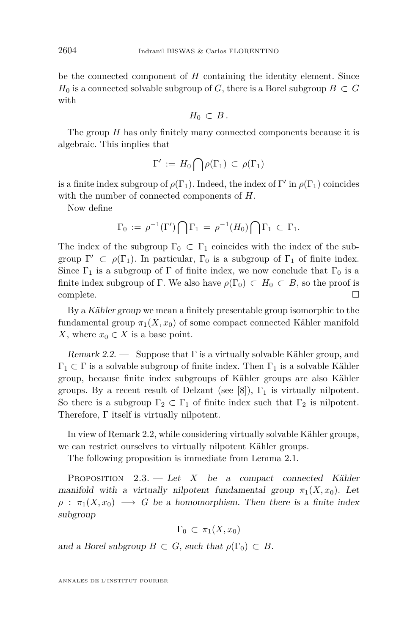<span id="page-4-0"></span>be the connected component of *H* containing the identity element. Since *H*<sub>0</sub> is a connected solvable subgroup of *G*, there is a Borel subgroup  $B \subset G$ with

$$
H_0\,\subset\, B\,.
$$

The group *H* has only finitely many connected components because it is algebraic. This implies that

$$
\Gamma' := H_0 \bigcap \rho(\Gamma_1) \subset \rho(\Gamma_1)
$$

is a finite index subgroup of  $\rho(\Gamma_1)$ . Indeed, the index of  $\Gamma'$  in  $\rho(\Gamma_1)$  coincides with the number of connected components of *H*.

Now define

$$
\Gamma_0 := \rho^{-1}(\Gamma') \bigcap \Gamma_1 = \rho^{-1}(H_0) \bigcap \Gamma_1 \subset \Gamma_1.
$$

The index of the subgroup  $\Gamma_0 \subset \Gamma_1$  coincides with the index of the subgroup  $\Gamma' \subset \rho(\Gamma_1)$ . In particular,  $\Gamma_0$  is a subgroup of  $\Gamma_1$  of finite index. Since  $\Gamma_1$  is a subgroup of  $\Gamma$  of finite index, we now conclude that  $\Gamma_0$  is a finite index subgroup of Γ. We also have  $\rho(\Gamma_0) \subset H_0 \subset B$ , so the proof is  $\Box$ complete.  $\Box$ 

By a Kähler group we mean a finitely presentable group isomorphic to the fundamental group  $\pi_1(X, x_0)$  of some compact connected Kähler manifold *X*, where  $x_0 \in X$  is a base point.

Remark 2.2. — Suppose that  $\Gamma$  is a virtually solvable Kähler group, and  $\Gamma_1 \subset \Gamma$  is a solvable subgroup of finite index. Then  $\Gamma_1$  is a solvable Kähler group, because finite index subgroups of Kähler groups are also Kähler groups. By a recent result of Delzant (see [\[8\]](#page-11-0)),  $\Gamma_1$  is virtually nilpotent. So there is a subgroup  $\Gamma_2 \subset \Gamma_1$  of finite index such that  $\Gamma_2$  is nilpotent. Therefore, Γ itself is virtually nilpotent.

In view of Remark 2.2, while considering virtually solvable Kähler groups, we can restrict ourselves to virtually nilpotent Kähler groups.

The following proposition is immediate from Lemma [2.1.](#page-3-0)

Proposition 2.3. — Let *X* be a compact connected Kähler manifold with a virtually nilpotent fundamental group  $\pi_1(X, x_0)$ . Let  $\rho$  :  $\pi_1(X, x_0) \longrightarrow G$  be a homomorphism. Then there is a finite index subgroup

$$
\Gamma_0 \subset \pi_1(X, x_0)
$$

and a Borel subgroup  $B \subset G$ , such that  $\rho(\Gamma_0) \subset B$ .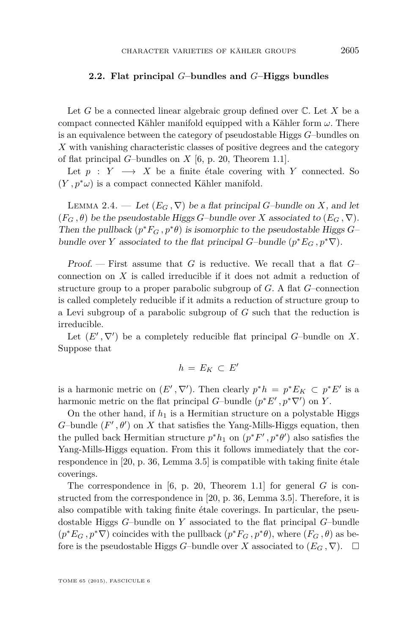#### <span id="page-5-0"></span>**2.2. Flat principal** *G***–bundles and** *G***–Higgs bundles**

Let *G* be a connected linear algebraic group defined over C. Let *X* be a compact connected Kähler manifold equipped with a Kähler form *ω*. There is an equivalence between the category of pseudostable Higgs *G*–bundles on *X* with vanishing characteristic classes of positive degrees and the category of flat principal *G*–bundles on *X* [\[6,](#page-11-0) p. 20, Theorem 1.1].

Let  $p : Y \longrightarrow X$  be a finite étale covering with *Y* connected. So  $(Y, p^*\omega)$  is a compact connected Kähler manifold.

LEMMA 2.4. — Let  $(E_G, \nabla)$  be a flat principal *G*–bundle on *X*, and let  $(F_G, \theta)$  be the pseudostable Higgs *G*–bundle over *X* associated to  $(E_G, \nabla)$ . Then the pullback  $(p^*F_G, p^*\theta)$  is isomorphic to the pseudostable Higgs *G*– bundle over *Y* associated to the flat principal *G*–bundle  $(p^*E_G, p^*\nabla)$ .

Proof. — First assume that *G* is reductive. We recall that a flat *G*– connection on *X* is called irreducible if it does not admit a reduction of structure group to a proper parabolic subgroup of *G*. A flat *G*–connection is called completely reducible if it admits a reduction of structure group to a Levi subgroup of a parabolic subgroup of *G* such that the reduction is irreducible.

Let  $(E', \nabla')$  be a completely reducible flat principal *G*–bundle on *X*. Suppose that

$$
h\,=\,E_K\,\subset\,E'
$$

is a harmonic metric on  $(E', \nabla')$ . Then clearly  $p^*h = p^*E_K \subset p^*E'$  is a harmonic metric on the flat principal *G*-bundle  $(p^*E', p^*\nabla')$  on *Y*.

On the other hand, if  $h_1$  is a Hermitian structure on a polystable Higgs  $G$ -bundle  $(F', \theta')$  on  $X$  that satisfies the Yang-Mills-Higgs equation, then the pulled back Hermitian structure  $p^*h_1$  on  $(p^*F', p^*\theta')$  also satisfies the Yang-Mills-Higgs equation. From this it follows immediately that the correspondence in [\[20,](#page-12-0) p. 36, Lemma 3.5] is compatible with taking finite étale coverings.

The correspondence in [\[6,](#page-11-0) p. 20, Theorem 1.1] for general *G* is constructed from the correspondence in [\[20,](#page-12-0) p. 36, Lemma 3.5]. Therefore, it is also compatible with taking finite étale coverings. In particular, the pseudostable Higgs *G*–bundle on *Y* associated to the flat principal *G*–bundle  $(p^*E_G, p^*\nabla)$  coincides with the pullback  $(p^*F_G, p^*\theta)$ , where  $(F_G, \theta)$  as before is the pseudostable Higgs *G*–bundle over *X* associated to  $(E_G, \nabla)$ .  $\Box$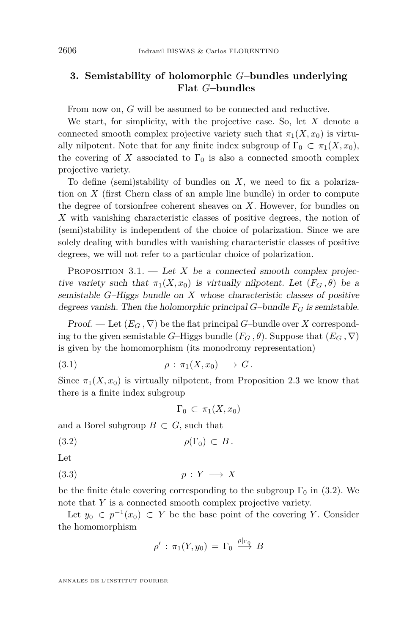#### <span id="page-6-0"></span>**3. Semistability of holomorphic** *G***–bundles underlying Flat** *G***–bundles**

From now on, *G* will be assumed to be connected and reductive.

We start, for simplicity, with the projective case. So, let *X* denote a connected smooth complex projective variety such that  $\pi_1(X, x_0)$  is virtually nilpotent. Note that for any finite index subgroup of  $\Gamma_0 \subset \pi_1(X, x_0)$ , the covering of  $X$  associated to  $\Gamma_0$  is also a connected smooth complex projective variety.

To define (semi)stability of bundles on *X*, we need to fix a polarization on *X* (first Chern class of an ample line bundle) in order to compute the degree of torsionfree coherent sheaves on *X*. However, for bundles on *X* with vanishing characteristic classes of positive degrees, the notion of (semi)stability is independent of the choice of polarization. Since we are solely dealing with bundles with vanishing characteristic classes of positive degrees, we will not refer to a particular choice of polarization.

PROPOSITION  $3.1.$  — Let X be a connected smooth complex projective variety such that  $\pi_1(X, x_0)$  is virtually nilpotent. Let  $(F_G, \theta)$  be a semistable *G*–Higgs bundle on *X* whose characteristic classes of positive degrees vanish. Then the holomorphic principal *G*–bundle *F<sup>G</sup>* is semistable.

Proof. — Let  $(E_G, \nabla)$  be the flat principal *G*-bundle over *X* corresponding to the given semistable *G*–Higgs bundle  $(F_G, \theta)$ . Suppose that  $(E_G, \nabla)$ is given by the homomorphism (its monodromy representation)

$$
(3.1) \quad \rho : \pi_1(X, x_0) \longrightarrow G.
$$

Since  $\pi_1(X, x_0)$  is virtually nilpotent, from Proposition [2.3](#page-4-0) we know that there is a finite index subgroup

$$
\Gamma_0 \subset \pi_1(X, x_0)
$$

and a Borel subgroup  $B \subset G$ , such that

$$
\rho(\Gamma_0) \subset B.
$$

Let

$$
(3.3) \t\t\t p: Y \longrightarrow X
$$

be the finite étale covering corresponding to the subgroup  $\Gamma_0$  in (3.2). We note that *Y* is a connected smooth complex projective variety.

Let  $y_0 \in p^{-1}(x_0) \subset Y$  be the base point of the covering *Y*. Consider the homomorphism

$$
\rho': \pi_1(Y, y_0) = \Gamma_0 \stackrel{\rho|_{\Gamma_0}}{\longrightarrow} B
$$

ANNALES DE L'INSTITUT FOURIER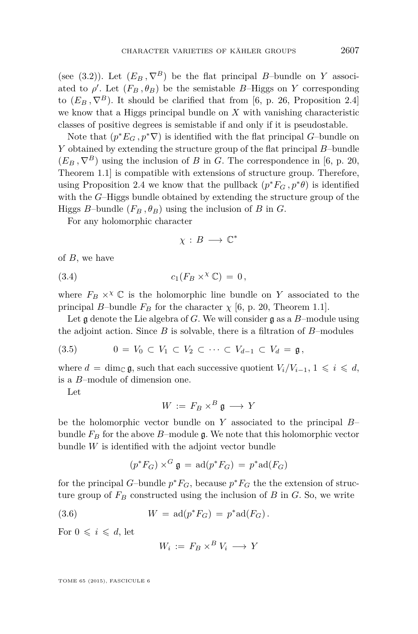<span id="page-7-0"></span>(see [\(3.2\)](#page-6-0)). Let  $(E_B, \nabla^B)$  be the flat principal *B*-bundle on *Y* associated to  $\rho'$ . Let  $(F_B, \theta_B)$  be the semistable *B*–Higgs on *Y* corresponding to  $(E_B, \nabla^B)$ . It should be clarified that from [\[6,](#page-11-0) p. 26, Proposition 2.4] we know that a Higgs principal bundle on *X* with vanishing characteristic classes of positive degrees is semistable if and only if it is pseudostable.

Note that  $(p^*E_G, p^*\nabla)$  is identified with the flat principal *G*–bundle on *Y* obtained by extending the structure group of the flat principal *B*–bundle  $(E_B, \nabla^B)$  using the inclusion of *B* in *G*. The correspondence in [\[6,](#page-11-0) p. 20,] Theorem 1.1] is compatible with extensions of structure group. Therefore, using Proposition [2.4](#page-5-0) we know that the pullback  $(p^*F_G, p^*\theta)$  is identified with the *G*–Higgs bundle obtained by extending the structure group of the Higgs *B*-bundle  $(F_B, \theta_B)$  using the inclusion of *B* in *G*.

For any holomorphic character

$$
\chi\,:\,B\,\longrightarrow\,\mathbb{C}^*
$$

of *B*, we have

(3.4) 
$$
c_1(F_B \times^{\chi} \mathbb{C}) = 0,
$$

where  $F_B \times^{\chi} \mathbb{C}$  is the holomorphic line bundle on *Y* associated to the principal *B*–bundle  $F_B$  for the character  $\chi$  [\[6,](#page-11-0) p. 20, Theorem 1.1].

Let g denote the Lie algebra of *G*. We will consider g as a *B*–module using the adjoint action. Since *B* is solvable, there is a filtration of *B*–modules

$$
(3.5) \qquad \qquad 0 = V_0 \subset V_1 \subset V_2 \subset \cdots \subset V_{d-1} \subset V_d = \mathfrak{g},
$$

where  $d = \dim_{\mathbb{C}} \mathfrak{g}$ , such that each successive quotient  $V_i/V_{i-1}, 1 \leq i \leq d$ , is a *B*–module of dimension one.

Let

$$
W := F_B \times^B \mathfrak{g} \longrightarrow Y
$$

be the holomorphic vector bundle on *Y* associated to the principal *B*– bundle  $F_B$  for the above *B*–module g. We note that this holomorphic vector bundle *W* is identified with the adjoint vector bundle

$$
(p^*F_G) \times^G \mathfrak{g} = \text{ad}(p^*F_G) = p^* \text{ad}(F_G)
$$

for the principal *G*-bundle  $p^*F_G$ , because  $p^*F_G$  the the extension of structure group of  $F_B$  constructed using the inclusion of  $B$  in  $G$ . So, we write

(3.6) 
$$
W = \text{ad}(p^* F_G) = p^* \text{ad}(F_G).
$$

For  $0 \leq i \leq d$ , let

$$
W_i := F_B \times^B V_i \longrightarrow Y
$$

TOME 65 (2015), FASCICULE 6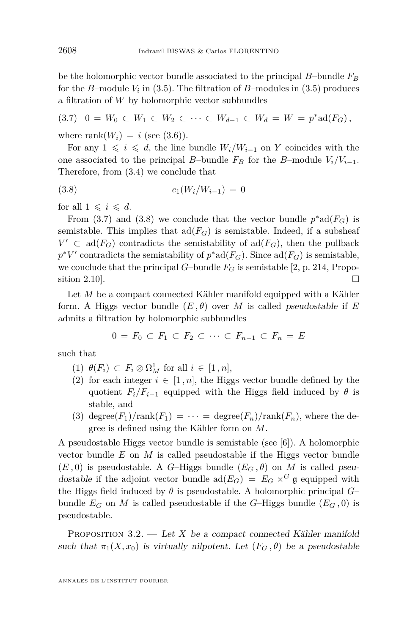<span id="page-8-0"></span>be the holomorphic vector bundle associated to the principal *B*–bundle *F<sup>B</sup>* for the *B*–module *V<sup>i</sup>* in [\(3.5\)](#page-7-0). The filtration of *B*–modules in [\(3.5\)](#page-7-0) produces a filtration of *W* by holomorphic vector subbundles

 $(3.7)$  0 =  $W_0 \subset W_1 \subset W_2 \subset \cdots \subset W_{d-1} \subset W_d = W = p^* \text{ad}(F_G)$ ,

where rank $(W_i) = i$  (see [\(3.6\)](#page-7-0)).

For any  $1 \leq i \leq d$ , the line bundle  $W_i/W_{i-1}$  on *Y* coincides with the one associated to the principal *B*–bundle  $F_B$  for the *B*–module  $V_i/V_{i-1}$ . Therefore, from [\(3.4\)](#page-7-0) we conclude that

$$
(3.8) \t\t\t c_1(W_i/W_{i-1}) = 0
$$

for all  $1 \leq i \leq d$ .

From (3.7) and (3.8) we conclude that the vector bundle  $p^* \text{ad}(F_G)$  is semistable. This implies that  $\text{ad}(F_G)$  is semistable. Indeed, if a subsheaf  $V' \subset \text{ad}(F_G)$  contradicts the semistability of  $\text{ad}(F_G)$ , then the pullback  $p^*V'$  contradicts the semistability of  $p^* \text{ad}(F_G)$ . Since  $\text{ad}(F_G)$  is semistable, we conclude that the principal *G*–bundle  $F_G$  is semistable [\[2,](#page-11-0) p. 214, Proposition 2.10].

Let *M* be a compact connected Kähler manifold equipped with a Kähler form. A Higgs vector bundle  $(E, \theta)$  over M is called pseudostable if E admits a filtration by holomorphic subbundles

$$
0 = F_0 \subset F_1 \subset F_2 \subset \cdots \subset F_{n-1} \subset F_n = E
$$

such that

- (1)  $\theta(F_i) \subset F_i \otimes \Omega^1_M$  for all  $i \in [1, n],$
- (2) for each integer  $i \in [1, n]$ , the Higgs vector bundle defined by the quotient  $F_i/F_{i-1}$  equipped with the Higgs field induced by  $\theta$  is stable, and
- (3) degree $(F_1)/\text{rank}(F_1) = \cdots = \text{degree}(F_n)/\text{rank}(F_n)$ , where the degree is defined using the Kähler form on *M*.

A pseudostable Higgs vector bundle is semistable (see [\[6\]](#page-11-0)). A holomorphic vector bundle *E* on *M* is called pseudostable if the Higgs vector bundle  $(E, 0)$  is pseudostable. A *G*–Higgs bundle  $(E_G, \theta)$  on *M* is called pseudostable if the adjoint vector bundle  $\text{ad}(E_G) = E_G \times^G \mathfrak{g}$  equipped with the Higgs field induced by  $\theta$  is pseudostable. A holomorphic principal  $G$ – bundle  $E_G$  on M is called pseudostable if the *G*–Higgs bundle  $(E_G, 0)$  is pseudostable.

PROPOSITION 3.2. — Let *X* be a compact connected Kähler manifold such that  $\pi_1(X, x_0)$  is virtually nilpotent. Let  $(F_G, \theta)$  be a pseudostable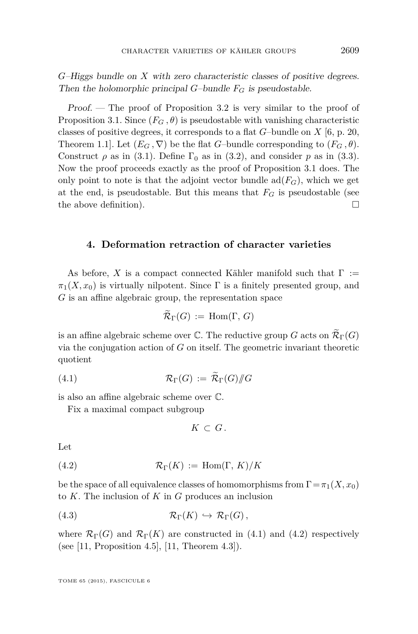<span id="page-9-0"></span>*G*–Higgs bundle on *X* with zero characteristic classes of positive degrees. Then the holomorphic principal *G*–bundle  $F_G$  is pseudostable.

Proof. — The proof of Proposition [3.2](#page-8-0) is very similar to the proof of Proposition [3.1.](#page-6-0) Since  $(F_G, \theta)$  is pseudostable with vanishing characteristic classes of positive degrees, it corresponds to a flat *G*–bundle on *X* [\[6,](#page-11-0) p. 20, Theorem 1.1. Let  $(E_G, \nabla)$  be the flat *G*–bundle corresponding to  $(F_G, \theta)$ . Construct  $\rho$  as in [\(3.1\)](#page-6-0). Define  $\Gamma_0$  as in [\(3.2\)](#page-6-0), and consider  $p$  as in [\(3.3\)](#page-6-0). Now the proof proceeds exactly as the proof of Proposition [3.1](#page-6-0) does. The only point to note is that the adjoint vector bundle  $\text{ad}(F_G)$ , which we get at the end, is pseudostable. But this means that  $F_G$  is pseudostable (see the above definition).  $\Box$ 

#### **4. Deformation retraction of character varieties**

As before, X is a compact connected Kähler manifold such that  $\Gamma :=$  $\pi_1(X, x_0)$  is virtually nilpotent. Since  $\Gamma$  is a finitely presented group, and *G* is an affine algebraic group, the representation space

$$
\widetilde{\mathcal{R}}_{\Gamma}(G) := \text{Hom}(\Gamma, G)
$$

is an affine algebraic scheme over  $\mathbb C$ . The reductive group *G* acts on  $\widetilde{\mathcal{R}}_{\Gamma}(G)$ via the conjugation action of *G* on itself. The geometric invariant theoretic quotient

$$
(4.1) \quad \mathcal{R}_{\Gamma}(G) := \widetilde{\mathcal{R}}_{\Gamma}(G) /\!\!/ G
$$

is also an affine algebraic scheme over C.

Fix a maximal compact subgroup

$$
K\,\subset\,G\,.
$$

Let

(4.2) 
$$
\mathcal{R}_{\Gamma}(K) := \text{Hom}(\Gamma, K)/K
$$

be the space of all equivalence classes of homomorphisms from  $\Gamma = \pi_1(X, x_0)$ to *K*. The inclusion of *K* in *G* produces an inclusion

(4.3) 
$$
\mathcal{R}_{\Gamma}(K) \hookrightarrow \mathcal{R}_{\Gamma}(G),
$$

where  $\mathcal{R}_{\Gamma}(G)$  and  $\mathcal{R}_{\Gamma}(K)$  are constructed in (4.1) and (4.2) respectively (see [\[11,](#page-11-0) Proposition 4.5], [\[11,](#page-11-0) Theorem 4.3]).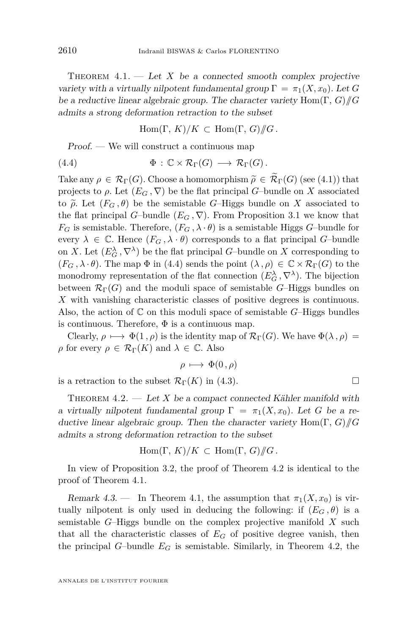<span id="page-10-0"></span>THEOREM  $4.1.$  — Let X be a connected smooth complex projective variety with a virtually nilpotent fundamental group  $\Gamma = \pi_1(X, x_0)$ . Let *G* be a reductive linear algebraic group. The character variety Hom(Γ*, G*)*//G* admits a strong deformation retraction to the subset

 $\text{Hom}(\Gamma, K)/K \subset \text{Hom}(\Gamma, G)/\!\!/ G$ .

Proof. — We will construct a continuous map

(4.4) 
$$
\Phi : \mathbb{C} \times \mathcal{R}_{\Gamma}(G) \longrightarrow \mathcal{R}_{\Gamma}(G).
$$

Take any  $\rho \in \mathcal{R}_{\Gamma}(G)$ . Choose a homomorphism  $\widetilde{\rho} \in \widetilde{\mathcal{R}}_{\Gamma}(G)$  (see [\(4.1\)](#page-9-0)) that projects to  $\rho$ . Let  $(E_G, \nabla)$  be the flat principal *G*–bundle on *X* associated to  $\tilde{\rho}$ . Let  $(F_G, \theta)$  be the semistable *G*–Higgs bundle on *X* associated to the flat principal *G*–bundle  $(E_G, \nabla)$ . From Proposition [3.1](#page-6-0) we know that  $F_G$  is semistable. Therefore,  $(F_G, \lambda \cdot \theta)$  is a semistable Higgs *G*–bundle for every  $\lambda \in \mathbb{C}$ . Hence  $(F_G, \lambda \cdot \theta)$  corresponds to a flat principal *G*-bundle on *X*. Let  $(E_G^{\lambda}, \nabla^{\lambda})$  be the flat principal *G*–bundle on *X* corresponding to  $(F_G, \lambda \cdot \theta)$ . The map  $\Phi$  in (4.4) sends the point  $(\lambda, \rho) \in \mathbb{C} \times \mathcal{R}_{\Gamma}(G)$  to the monodromy representation of the flat connection  $(E_G^{\lambda}, \nabla^{\lambda})$ . The bijection between  $\mathcal{R}_{\Gamma}(G)$  and the moduli space of semistable *G*–Higgs bundles on *X* with vanishing characteristic classes of positive degrees is continuous. Also, the action of  $\mathbb C$  on this moduli space of semistable *G*–Higgs bundles is continuous. Therefore,  $\Phi$  is a continuous map.

Clearly,  $\rho \mapsto \Phi(1, \rho)$  is the identity map of  $\mathcal{R}_{\Gamma}(G)$ . We have  $\Phi(\lambda, \rho) =$ *ρ* for every  $\rho \in \mathcal{R}_{\Gamma}(K)$  and  $\lambda \in \mathbb{C}$ . Also

$$
\rho \longmapsto \Phi(0,\rho)
$$

is a retraction to the subset  $\mathcal{R}_{\Gamma}(K)$  in [\(4.3\)](#page-9-0).

THEOREM  $4.2.$  — Let *X* be a compact connected Kähler manifold with a virtually nilpotent fundamental group  $\Gamma = \pi_1(X, x_0)$ . Let *G* be a reductive linear algebraic group. Then the character variety Hom(Γ*, G*)*//G* admits a strong deformation retraction to the subset

$$
\text{Hom}(\Gamma, K)/K \subset \text{Hom}(\Gamma, G)/\!\!/ G
$$
.

In view of Proposition [3.2,](#page-8-0) the proof of Theorem 4.2 is identical to the proof of Theorem 4.1.

Remark 4.3. — In Theorem 4.1, the assumption that  $\pi_1(X, x_0)$  is virtually nilpotent is only used in deducing the following: if  $(E_G, \theta)$  is a semistable *G*–Higgs bundle on the complex projective manifold *X* such that all the characteristic classes of  $E_G$  of positive degree vanish, then the principal *G*–bundle  $E_G$  is semistable. Similarly, in Theorem 4.2, the

$$
\Box
$$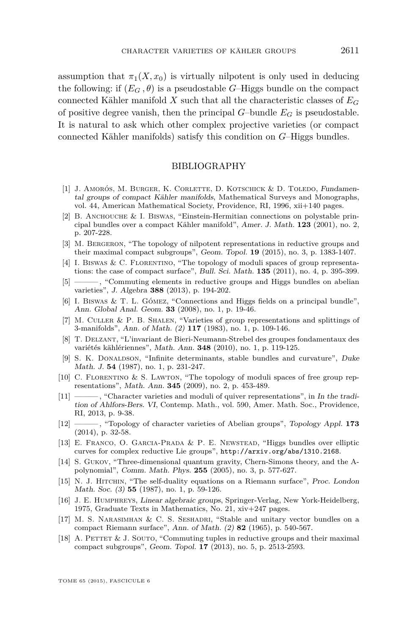<span id="page-11-0"></span>assumption that  $\pi_1(X, x_0)$  is virtually nilpotent is only used in deducing the following: if  $(E_G, \theta)$  is a pseudostable *G*–Higgs bundle on the compact connected Kähler manifold X such that all the characteristic classes of  $E_G$ of positive degree vanish, then the principal  $G$ –bundle  $E_G$  is pseudostable. It is natural to ask which other complex projective varieties (or compact connected Kähler manifolds) satisfy this condition on *G*–Higgs bundles.

#### BIBLIOGRAPHY

- [1] J. AMORÓS, M. BURGER, K. CORLETTE, D. KOTSCHICK & D. TOLEDO, Fundamental groups of compact Kähler manifolds, Mathematical Surveys and Monographs, vol. 44, American Mathematical Society, Providence, RI, 1996, xii+140 pages.
- [2] B. Anchouche & I. Biswas, "Einstein-Hermitian connections on polystable principal bundles over a compact Kähler manifold", Amer. J. Math. **123** (2001), no. 2, p. 207-228.
- [3] M. Bergeron, "The topology of nilpotent representations in reductive groups and their maximal compact subgroups", Geom. Topol. **19** (2015), no. 3, p. 1383-1407.
- [4] I. BISWAS & C. FLORENTINO, "The topology of moduli spaces of group representations: the case of compact surface", Bull. Sci. Math. **135** (2011), no. 4, p. 395-399.
- [5] ——— , "Commuting elements in reductive groups and Higgs bundles on abelian varieties", J. Algebra **388** (2013), p. 194-202.
- [6] I. Biswas & T. L. Gómez, "Connections and Higgs fields on a principal bundle", Ann. Global Anal. Geom. **33** (2008), no. 1, p. 19-46.
- [7] M. Culler & P. B. Shalen, "Varieties of group representations and splittings of 3-manifolds", Ann. of Math. (2) **117** (1983), no. 1, p. 109-146.
- [8] T. Delzant, "L'invariant de Bieri-Neumann-Strebel des groupes fondamentaux des variétés kählériennes", Math. Ann. **348** (2010), no. 1, p. 119-125.
- [9] S. K. DONALDSON, "Infinite determinants, stable bundles and curvature", Duke Math. J. **54** (1987), no. 1, p. 231-247.
- [10] C. FLORENTINO & S. LAWTON, "The topology of moduli spaces of free group representations", Math. Ann. **345** (2009), no. 2, p. 453-489.
- [11] ——— , "Character varieties and moduli of quiver representations", in In the tradition of Ahlfors-Bers. VI, Contemp. Math., vol. 590, Amer. Math. Soc., Providence, RI, 2013, p. 9-38.
- [12] ——— , "Topology of character varieties of Abelian groups", Topology Appl. **173** (2014), p. 32-58.
- [13] E. Franco, O. Garcia-Prada & P. E. Newstead, "Higgs bundles over elliptic curves for complex reductive Lie groups", <http://arxiv.org/abs/1310.2168>.
- [14] S. Gukov, "Three-dimensional quantum gravity, Chern-Simons theory, and the Apolynomial", Comm. Math. Phys. **255** (2005), no. 3, p. 577-627.
- [15] N. J. Hitchin, "The self-duality equations on a Riemann surface", Proc. London Math. Soc. (3) **55** (1987), no. 1, p. 59-126.
- [16] J. E. Humphreys, Linear algebraic groups, Springer-Verlag, New York-Heidelberg, 1975, Graduate Texts in Mathematics, No. 21, xiv+247 pages.
- [17] M. S. Narasimhan & C. S. Seshadri, "Stable and unitary vector bundles on a compact Riemann surface", Ann. of Math. (2) **82** (1965), p. 540-567.
- [18] A. PETTET  $&\text{J}$ . SOUTO, "Commuting tuples in reductive groups and their maximal compact subgroups", Geom. Topol. **17** (2013), no. 5, p. 2513-2593.